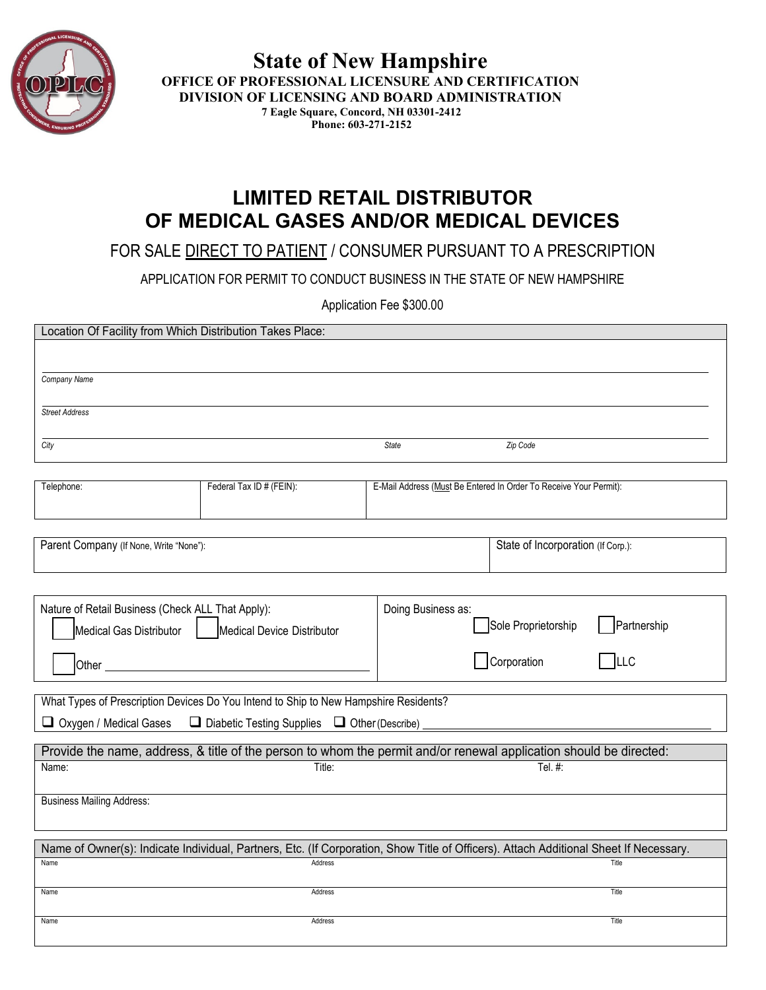

**State of New Hampshire OFFICE OF PROFESSIONAL LICENSURE AND CERTIFICATION DIVISION OF LICENSING AND BOARD ADMINISTRATION 7 Eagle Square, Concord, NH 03301-2412 Phone: 603-271-2152**

**LIMITED RETAIL DISTRIBUTOR OF MEDICAL GASES AND/OR MEDICAL DEVICES**

FOR SALE DIRECT TO PATIENT / CONSUMER PURSUANT TO A PRESCRIPTION

APPLICATION FOR PERMIT TO CONDUCT BUSINESS IN THE STATE OF NEW HAMPSHIRE

Application Fee \$300.00

| Location Of Facility from Which Distribution Takes Place:                                                                             |                                                                                                                    |                                    |                                                                   |             |  |
|---------------------------------------------------------------------------------------------------------------------------------------|--------------------------------------------------------------------------------------------------------------------|------------------------------------|-------------------------------------------------------------------|-------------|--|
|                                                                                                                                       |                                                                                                                    |                                    |                                                                   |             |  |
|                                                                                                                                       |                                                                                                                    |                                    |                                                                   |             |  |
| Company Name                                                                                                                          |                                                                                                                    |                                    |                                                                   |             |  |
| <b>Street Address</b>                                                                                                                 |                                                                                                                    |                                    |                                                                   |             |  |
|                                                                                                                                       |                                                                                                                    |                                    |                                                                   |             |  |
| City                                                                                                                                  |                                                                                                                    | <b>State</b>                       | Zip Code                                                          |             |  |
|                                                                                                                                       |                                                                                                                    |                                    |                                                                   |             |  |
| Telephone:<br>Federal Tax ID # (FEIN):                                                                                                |                                                                                                                    |                                    | E-Mail Address (Must Be Entered In Order To Receive Your Permit): |             |  |
|                                                                                                                                       |                                                                                                                    |                                    |                                                                   |             |  |
|                                                                                                                                       |                                                                                                                    |                                    |                                                                   |             |  |
| Parent Company (If None, Write "None"):                                                                                               |                                                                                                                    | State of Incorporation (If Corp.): |                                                                   |             |  |
|                                                                                                                                       |                                                                                                                    |                                    |                                                                   |             |  |
|                                                                                                                                       |                                                                                                                    |                                    |                                                                   |             |  |
| Nature of Retail Business (Check ALL That Apply):                                                                                     | Doing Business as:                                                                                                 |                                    |                                                                   |             |  |
| Medical Gas Distributor<br>Medical Device Distributor                                                                                 |                                                                                                                    |                                    | Sole Proprietorship                                               | Partnership |  |
|                                                                                                                                       |                                                                                                                    |                                    |                                                                   |             |  |
| Other _________                                                                                                                       |                                                                                                                    |                                    | Corporation                                                       | <b>ILLC</b> |  |
|                                                                                                                                       |                                                                                                                    |                                    |                                                                   |             |  |
| What Types of Prescription Devices Do You Intend to Ship to New Hampshire Residents?                                                  |                                                                                                                    |                                    |                                                                   |             |  |
| $\Box$ Oxygen / Medical Gases<br>$\Box$ Diabetic Testing Supplies $\Box$ Other (Describe)                                             |                                                                                                                    |                                    |                                                                   |             |  |
|                                                                                                                                       | Provide the name, address, & title of the person to whom the permit and/or renewal application should be directed: |                                    |                                                                   |             |  |
| Title:<br>Name:                                                                                                                       |                                                                                                                    |                                    | Tel. #:                                                           |             |  |
|                                                                                                                                       |                                                                                                                    |                                    |                                                                   |             |  |
| <b>Business Mailing Address:</b>                                                                                                      |                                                                                                                    |                                    |                                                                   |             |  |
|                                                                                                                                       |                                                                                                                    |                                    |                                                                   |             |  |
| Name of Owner(s): Indicate Individual, Partners, Etc. (If Corporation, Show Title of Officers). Attach Additional Sheet If Necessary. |                                                                                                                    |                                    |                                                                   |             |  |
| Name                                                                                                                                  | Address                                                                                                            |                                    |                                                                   | Title       |  |
| Name                                                                                                                                  | Address                                                                                                            |                                    |                                                                   | Title       |  |
|                                                                                                                                       |                                                                                                                    |                                    |                                                                   |             |  |
| Name                                                                                                                                  | Address                                                                                                            |                                    |                                                                   | Title       |  |
|                                                                                                                                       |                                                                                                                    |                                    |                                                                   |             |  |